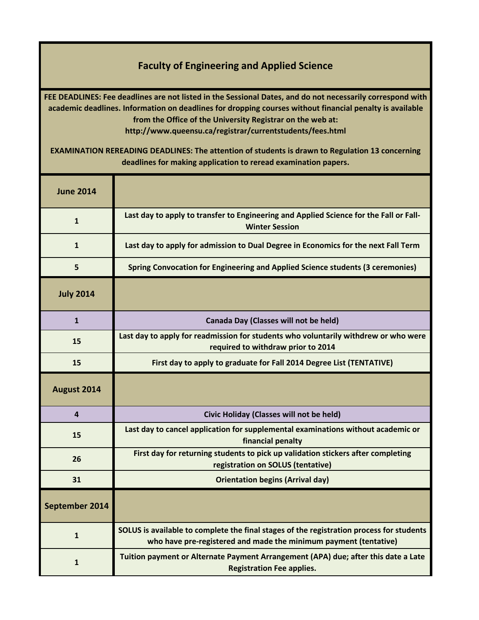## **Faculty of Engineering and Applied Science**

**FEE DEADLINES: Fee deadlines are not listed in the Sessional Dates, and do not necessarily correspond with academic deadlines. Information on deadlines for dropping courses without financial penalty is available from the Office of the University Registrar on the web at: http://www.queensu.ca/registrar/currentstudents/fees.html**

**EXAMINATION REREADING DEADLINES: The attention of students is drawn to Regulation 13 concerning deadlines for making application to reread examination papers.**

| <b>June 2014</b> |                                                                                                                                                              |
|------------------|--------------------------------------------------------------------------------------------------------------------------------------------------------------|
| $\mathbf{1}$     | Last day to apply to transfer to Engineering and Applied Science for the Fall or Fall-<br><b>Winter Session</b>                                              |
| $\mathbf{1}$     | Last day to apply for admission to Dual Degree in Economics for the next Fall Term                                                                           |
| 5                | <b>Spring Convocation for Engineering and Applied Science students (3 ceremonies)</b>                                                                        |
| <b>July 2014</b> |                                                                                                                                                              |
| $\mathbf{1}$     | Canada Day (Classes will not be held)                                                                                                                        |
| 15               | Last day to apply for readmission for students who voluntarily withdrew or who were<br>required to withdraw prior to 2014                                    |
| 15               | First day to apply to graduate for Fall 2014 Degree List (TENTATIVE)                                                                                         |
| August 2014      |                                                                                                                                                              |
| $\overline{a}$   | Civic Holiday (Classes will not be held)                                                                                                                     |
| 15               | Last day to cancel application for supplemental examinations without academic or<br>financial penalty                                                        |
| 26               | First day for returning students to pick up validation stickers after completing<br>registration on SOLUS (tentative)                                        |
| 31               | <b>Orientation begins (Arrival day)</b>                                                                                                                      |
| September 2014   |                                                                                                                                                              |
| $\mathbf{1}$     | SOLUS is available to complete the final stages of the registration process for students<br>who have pre-registered and made the minimum payment (tentative) |
| 1                | Tuition payment or Alternate Payment Arrangement (APA) due; after this date a Late<br><b>Registration Fee applies.</b>                                       |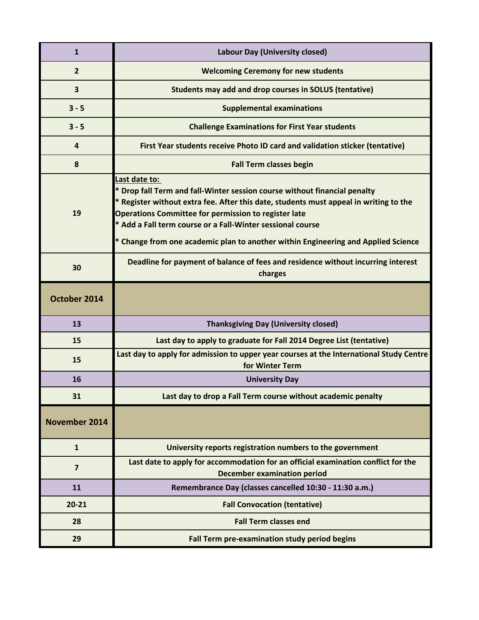| $\mathbf{1}$            | Labour Day (University closed)                                                                                                                                                                                                                                                                                                                                                                        |
|-------------------------|-------------------------------------------------------------------------------------------------------------------------------------------------------------------------------------------------------------------------------------------------------------------------------------------------------------------------------------------------------------------------------------------------------|
| $\overline{2}$          | <b>Welcoming Ceremony for new students</b>                                                                                                                                                                                                                                                                                                                                                            |
| $\overline{\mathbf{3}}$ | Students may add and drop courses in SOLUS (tentative)                                                                                                                                                                                                                                                                                                                                                |
| $3 - 5$                 | <b>Supplemental examinations</b>                                                                                                                                                                                                                                                                                                                                                                      |
| $3 - 5$                 | <b>Challenge Examinations for First Year students</b>                                                                                                                                                                                                                                                                                                                                                 |
| $\overline{a}$          | First Year students receive Photo ID card and validation sticker (tentative)                                                                                                                                                                                                                                                                                                                          |
| 8                       | <b>Fall Term classes begin</b>                                                                                                                                                                                                                                                                                                                                                                        |
| 19                      | Last date to:<br>* Drop fall Term and fall-Winter session course without financial penalty<br>* Register without extra fee. After this date, students must appeal in writing to the<br><b>Operations Committee for permission to register late</b><br>* Add a Fall term course or a Fall-Winter sessional course<br>* Change from one academic plan to another within Engineering and Applied Science |
| 30                      | Deadline for payment of balance of fees and residence without incurring interest<br>charges                                                                                                                                                                                                                                                                                                           |
| October 2014            |                                                                                                                                                                                                                                                                                                                                                                                                       |
| 13                      | <b>Thanksgiving Day (University closed)</b>                                                                                                                                                                                                                                                                                                                                                           |
| 15                      | Last day to apply to graduate for Fall 2014 Degree List (tentative)                                                                                                                                                                                                                                                                                                                                   |
| 15                      | Last day to apply for admission to upper year courses at the International Study Centre<br>for Winter Term                                                                                                                                                                                                                                                                                            |
| 16                      | <b>University Day</b>                                                                                                                                                                                                                                                                                                                                                                                 |
| 31                      | Last day to drop a Fall Term course without academic penalty                                                                                                                                                                                                                                                                                                                                          |
| November 2014           |                                                                                                                                                                                                                                                                                                                                                                                                       |
| $\mathbf{1}$            | University reports registration numbers to the government                                                                                                                                                                                                                                                                                                                                             |
| $\overline{7}$          | Last date to apply for accommodation for an official examination conflict for the<br><b>December examination period</b>                                                                                                                                                                                                                                                                               |
| 11                      | Remembrance Day (classes cancelled 10:30 - 11:30 a.m.)                                                                                                                                                                                                                                                                                                                                                |
| $20 - 21$               | <b>Fall Convocation (tentative)</b>                                                                                                                                                                                                                                                                                                                                                                   |
| 28                      | <b>Fall Term classes end</b>                                                                                                                                                                                                                                                                                                                                                                          |
| 29                      | Fall Term pre-examination study period begins                                                                                                                                                                                                                                                                                                                                                         |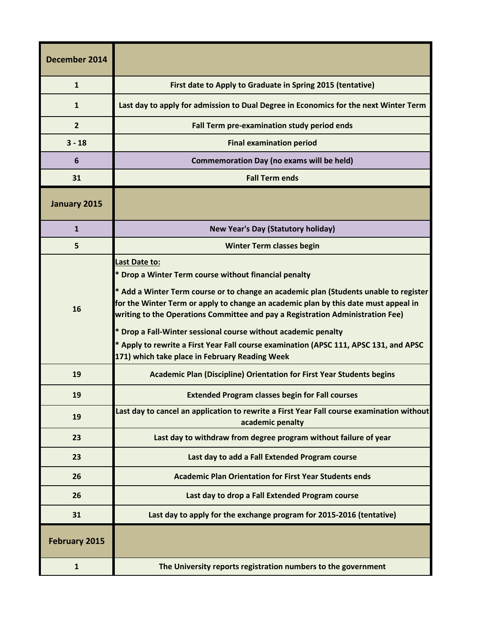| December 2014        |                                                                                                                                                                                                                                                                                                                                                                                                                                                                                                                                                       |
|----------------------|-------------------------------------------------------------------------------------------------------------------------------------------------------------------------------------------------------------------------------------------------------------------------------------------------------------------------------------------------------------------------------------------------------------------------------------------------------------------------------------------------------------------------------------------------------|
| $\mathbf{1}$         | First date to Apply to Graduate in Spring 2015 (tentative)                                                                                                                                                                                                                                                                                                                                                                                                                                                                                            |
| 1                    | Last day to apply for admission to Dual Degree in Economics for the next Winter Term                                                                                                                                                                                                                                                                                                                                                                                                                                                                  |
| $\overline{2}$       | Fall Term pre-examination study period ends                                                                                                                                                                                                                                                                                                                                                                                                                                                                                                           |
| $3 - 18$             | <b>Final examination period</b>                                                                                                                                                                                                                                                                                                                                                                                                                                                                                                                       |
| 6                    | <b>Commemoration Day (no exams will be held)</b>                                                                                                                                                                                                                                                                                                                                                                                                                                                                                                      |
| 31                   | <b>Fall Term ends</b>                                                                                                                                                                                                                                                                                                                                                                                                                                                                                                                                 |
| January 2015         |                                                                                                                                                                                                                                                                                                                                                                                                                                                                                                                                                       |
| $\mathbf{1}$         | <b>New Year's Day (Statutory holiday)</b>                                                                                                                                                                                                                                                                                                                                                                                                                                                                                                             |
| 5                    | <b>Winter Term classes begin</b>                                                                                                                                                                                                                                                                                                                                                                                                                                                                                                                      |
| 16                   | Last Date to:<br>* Drop a Winter Term course without financial penalty<br>* Add a Winter Term course or to change an academic plan (Students unable to register<br>for the Winter Term or apply to change an academic plan by this date must appeal in<br>writing to the Operations Committee and pay a Registration Administration Fee)<br>* Drop a Fall-Winter sessional course without academic penalty<br>* Apply to rewrite a First Year Fall course examination (APSC 111, APSC 131, and APSC<br>171) which take place in February Reading Week |
| 19                   | <b>Academic Plan (Discipline) Orientation for First Year Students begins</b>                                                                                                                                                                                                                                                                                                                                                                                                                                                                          |
| 19                   | <b>Extended Program classes begin for Fall courses</b>                                                                                                                                                                                                                                                                                                                                                                                                                                                                                                |
| 19                   | Last day to cancel an application to rewrite a First Year Fall course examination without<br>academic penalty                                                                                                                                                                                                                                                                                                                                                                                                                                         |
| 23                   | Last day to withdraw from degree program without failure of year                                                                                                                                                                                                                                                                                                                                                                                                                                                                                      |
| 23                   | Last day to add a Fall Extended Program course                                                                                                                                                                                                                                                                                                                                                                                                                                                                                                        |
| 26                   | <b>Academic Plan Orientation for First Year Students ends</b>                                                                                                                                                                                                                                                                                                                                                                                                                                                                                         |
| 26                   | Last day to drop a Fall Extended Program course                                                                                                                                                                                                                                                                                                                                                                                                                                                                                                       |
| 31                   | Last day to apply for the exchange program for 2015-2016 (tentative)                                                                                                                                                                                                                                                                                                                                                                                                                                                                                  |
| <b>February 2015</b> |                                                                                                                                                                                                                                                                                                                                                                                                                                                                                                                                                       |
| $\mathbf{1}$         | The University reports registration numbers to the government                                                                                                                                                                                                                                                                                                                                                                                                                                                                                         |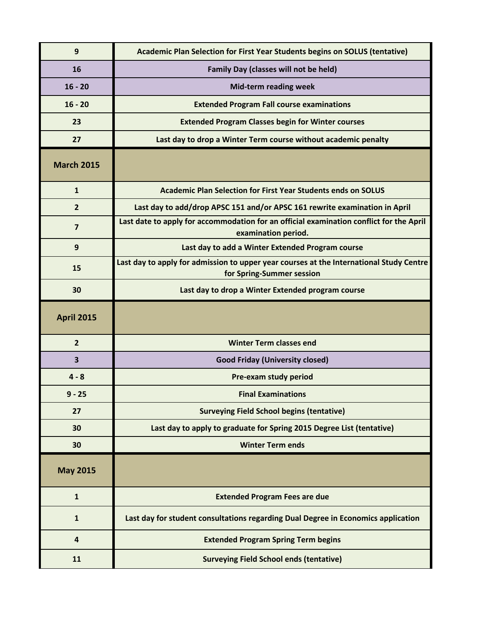| 9                       | Academic Plan Selection for First Year Students begins on SOLUS (tentative)                                          |
|-------------------------|----------------------------------------------------------------------------------------------------------------------|
| 16                      | Family Day (classes will not be held)                                                                                |
| $16 - 20$               | <b>Mid-term reading week</b>                                                                                         |
| $16 - 20$               | <b>Extended Program Fall course examinations</b>                                                                     |
| 23                      | <b>Extended Program Classes begin for Winter courses</b>                                                             |
| 27                      | Last day to drop a Winter Term course without academic penalty                                                       |
| <b>March 2015</b>       |                                                                                                                      |
| $\mathbf{1}$            | <b>Academic Plan Selection for First Year Students ends on SOLUS</b>                                                 |
| $\overline{2}$          | Last day to add/drop APSC 151 and/or APSC 161 rewrite examination in April                                           |
| $\overline{\mathbf{z}}$ | Last date to apply for accommodation for an official examination conflict for the April<br>examination period.       |
| 9                       | Last day to add a Winter Extended Program course                                                                     |
| 15                      | Last day to apply for admission to upper year courses at the International Study Centre<br>for Spring-Summer session |
| 30                      | Last day to drop a Winter Extended program course                                                                    |
|                         |                                                                                                                      |
| <b>April 2015</b>       |                                                                                                                      |
| $\overline{2}$          | <b>Winter Term classes end</b>                                                                                       |
| 3                       | <b>Good Friday (University closed)</b>                                                                               |
| $4 - 8$                 | Pre-exam study period                                                                                                |
| $9 - 25$                | <b>Final Examinations</b>                                                                                            |
| 27                      | <b>Surveying Field School begins (tentative)</b>                                                                     |
| 30                      | Last day to apply to graduate for Spring 2015 Degree List (tentative)                                                |
| 30                      | <b>Winter Term ends</b>                                                                                              |
| <b>May 2015</b>         |                                                                                                                      |
| $\mathbf{1}$            | <b>Extended Program Fees are due</b>                                                                                 |
| $\mathbf{1}$            | Last day for student consultations regarding Dual Degree in Economics application                                    |
| $\overline{\mathbf{4}}$ | <b>Extended Program Spring Term begins</b>                                                                           |